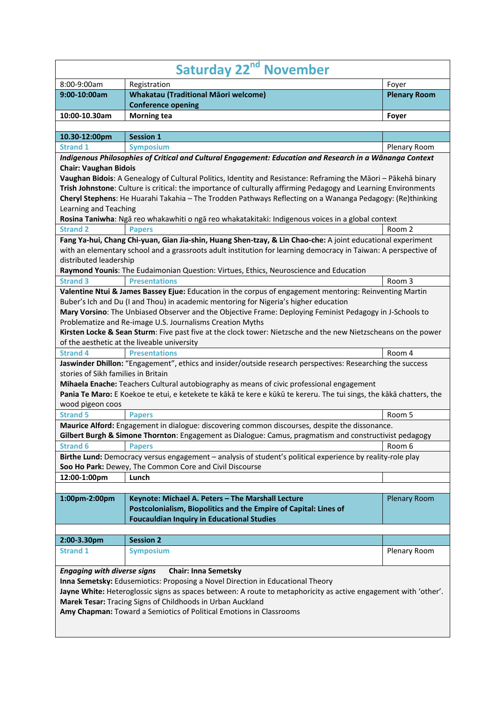| Saturday 22 <sup>nd</sup> November  |                                                                                                                                                                                                                                                                                                                                                                                                                                |                     |
|-------------------------------------|--------------------------------------------------------------------------------------------------------------------------------------------------------------------------------------------------------------------------------------------------------------------------------------------------------------------------------------------------------------------------------------------------------------------------------|---------------------|
| 8:00-9:00am                         | Registration                                                                                                                                                                                                                                                                                                                                                                                                                   | Foyer               |
| 9:00-10:00am                        | <b>Whakatau (Traditional Māori welcome)</b>                                                                                                                                                                                                                                                                                                                                                                                    | <b>Plenary Room</b> |
|                                     | <b>Conference opening</b>                                                                                                                                                                                                                                                                                                                                                                                                      |                     |
| 10:00-10.30am                       | <b>Morning tea</b>                                                                                                                                                                                                                                                                                                                                                                                                             | Foyer               |
| 10.30-12:00pm                       | <b>Session 1</b>                                                                                                                                                                                                                                                                                                                                                                                                               |                     |
| <b>Strand 1</b>                     | <b>Symposium</b>                                                                                                                                                                                                                                                                                                                                                                                                               | Plenary Room        |
|                                     | Indigenous Philosophies of Critical and Cultural Engagement: Education and Research in a Wānanga Context                                                                                                                                                                                                                                                                                                                       |                     |
| <b>Chair: Vaughan Bidois</b>        |                                                                                                                                                                                                                                                                                                                                                                                                                                |                     |
|                                     | Vaughan Bidois: A Genealogy of Cultural Politics, Identity and Resistance: Reframing the Māori - Pākehā binary                                                                                                                                                                                                                                                                                                                 |                     |
|                                     | Trish Johnstone: Culture is critical: the importance of culturally affirming Pedagogy and Learning Environments                                                                                                                                                                                                                                                                                                                |                     |
|                                     | Cheryl Stephens: He Huarahi Takahia - The Trodden Pathways Reflecting on a Wananga Pedagogy: (Re)thinking                                                                                                                                                                                                                                                                                                                      |                     |
| Learning and Teaching               |                                                                                                                                                                                                                                                                                                                                                                                                                                |                     |
|                                     | Rosina Taniwha: Ngā reo whakawhiti o ngā reo whakatakitaki: Indigenous voices in a global context                                                                                                                                                                                                                                                                                                                              |                     |
| <b>Strand 2</b>                     | <b>Papers</b>                                                                                                                                                                                                                                                                                                                                                                                                                  | Room 2              |
|                                     | Fang Ya-hui, Chang Chi-yuan, Gian Jia-shin, Huang Shen-tzay, & Lin Chao-che: A joint educational experiment                                                                                                                                                                                                                                                                                                                    |                     |
|                                     | with an elementary school and a grassroots adult institution for learning democracy in Taiwan: A perspective of                                                                                                                                                                                                                                                                                                                |                     |
| distributed leadership              |                                                                                                                                                                                                                                                                                                                                                                                                                                |                     |
|                                     | Raymond Younis: The Eudaimonian Question: Virtues, Ethics, Neuroscience and Education                                                                                                                                                                                                                                                                                                                                          |                     |
| <b>Strand 3</b>                     | <b>Presentations</b>                                                                                                                                                                                                                                                                                                                                                                                                           | Room 3              |
|                                     | Valentine Ntui & James Bassey Ejue: Education in the corpus of engagement mentoring: Reinventing Martin                                                                                                                                                                                                                                                                                                                        |                     |
|                                     | Buber's Ich and Du (I and Thou) in academic mentoring for Nigeria's higher education<br>Mary Vorsino: The Unbiased Observer and the Objective Frame: Deploying Feminist Pedagogy in J-Schools to<br>Problematize and Re-image U.S. Journalisms Creation Myths<br>Kirsten Locke & Sean Sturm: Five past five at the clock tower: Nietzsche and the new Nietzscheans on the power<br>of the aesthetic at the liveable university |                     |
| <b>Strand 4</b>                     | <b>Presentations</b>                                                                                                                                                                                                                                                                                                                                                                                                           | Room 4              |
|                                     | Jaswinder Dhillon: "Engagement", ethics and insider/outside research perspectives: Researching the success                                                                                                                                                                                                                                                                                                                     |                     |
| stories of Sikh families in Britain |                                                                                                                                                                                                                                                                                                                                                                                                                                |                     |
|                                     | Mihaela Enache: Teachers Cultural autobiography as means of civic professional engagement                                                                                                                                                                                                                                                                                                                                      |                     |
|                                     | Pania Te Maro: E Koekoe te etui, e ketekete te kākā te kere e kūkū te kereru. The tui sings, the kākā chatters, the                                                                                                                                                                                                                                                                                                            |                     |
| wood pigeon coos                    |                                                                                                                                                                                                                                                                                                                                                                                                                                |                     |
| <b>Strand 5</b>                     | <b>Papers</b>                                                                                                                                                                                                                                                                                                                                                                                                                  | Room 5              |
|                                     | Maurice Alford: Engagement in dialogue: discovering common discourses, despite the dissonance.                                                                                                                                                                                                                                                                                                                                 |                     |
|                                     | Gilbert Burgh & Simone Thornton: Engagement as Dialogue: Camus, pragmatism and constructivist pedagogy                                                                                                                                                                                                                                                                                                                         |                     |
| <b>Strand 6</b>                     | <b>Papers</b>                                                                                                                                                                                                                                                                                                                                                                                                                  | Room 6              |
|                                     | Birthe Lund: Democracy versus engagement - analysis of student's political experience by reality-role play                                                                                                                                                                                                                                                                                                                     |                     |
|                                     | Soo Ho Park: Dewey, The Common Core and Civil Discourse                                                                                                                                                                                                                                                                                                                                                                        |                     |
| 12:00-1:00pm                        | Lunch                                                                                                                                                                                                                                                                                                                                                                                                                          |                     |
|                                     |                                                                                                                                                                                                                                                                                                                                                                                                                                |                     |
| 1:00pm-2:00pm                       | Keynote: Michael A. Peters - The Marshall Lecture<br>Postcolonialism, Biopolitics and the Empire of Capital: Lines of<br><b>Foucauldian Inquiry in Educational Studies</b>                                                                                                                                                                                                                                                     | <b>Plenary Room</b> |
| 2:00-3.30pm                         | <b>Session 2</b>                                                                                                                                                                                                                                                                                                                                                                                                               |                     |
| <b>Strand 1</b>                     | <b>Symposium</b>                                                                                                                                                                                                                                                                                                                                                                                                               | Plenary Room        |
|                                     |                                                                                                                                                                                                                                                                                                                                                                                                                                |                     |
| <b>Engaging with diverse signs</b>  | <b>Chair: Inna Semetsky</b><br>Inna Semetsky: Edusemiotics: Proposing a Novel Direction in Educational Theory<br>Jayne White: Heteroglossic signs as spaces between: A route to metaphoricity as active engagement with 'other'.<br>Marek Tesar: Tracing Signs of Childhoods in Urban Auckland<br>Amy Chapman: Toward a Semiotics of Political Emotions in Classrooms                                                          |                     |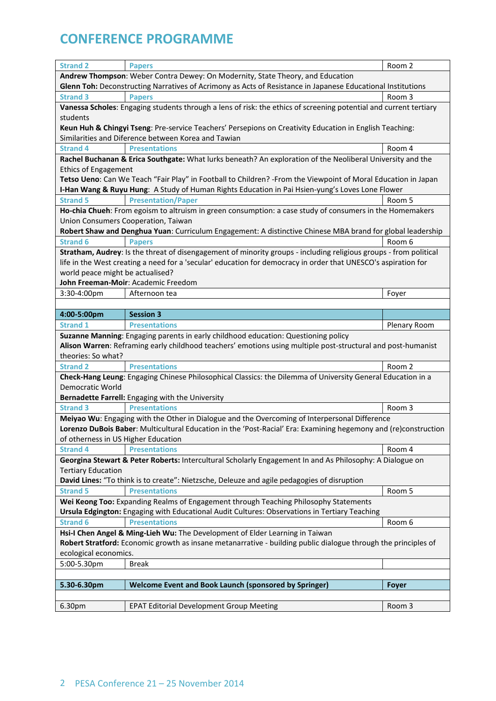| <b>Strand 2</b>                                                                                             | <b>Papers</b>                                                                                                     | Room 2                    |  |  |
|-------------------------------------------------------------------------------------------------------------|-------------------------------------------------------------------------------------------------------------------|---------------------------|--|--|
| Andrew Thompson: Weber Contra Dewey: On Modernity, State Theory, and Education                              |                                                                                                                   |                           |  |  |
| Glenn Toh: Deconstructing Narratives of Acrimony as Acts of Resistance in Japanese Educational Institutions |                                                                                                                   |                           |  |  |
| <b>Strand 3</b>                                                                                             | <b>Papers</b>                                                                                                     | Room 3                    |  |  |
|                                                                                                             | Vanessa Scholes: Engaging students through a lens of risk: the ethics of screening potential and current tertiary |                           |  |  |
| students                                                                                                    |                                                                                                                   |                           |  |  |
|                                                                                                             | Keun Huh & Chingyi Tseng: Pre-service Teachers' Persepions on Creativity Education in English Teaching:           |                           |  |  |
|                                                                                                             | Similarities and Diference between Korea and Tawian                                                               |                           |  |  |
| <b>Strand 4</b>                                                                                             | <b>Presentations</b>                                                                                              | Room 4                    |  |  |
|                                                                                                             | Rachel Buchanan & Erica Southgate: What lurks beneath? An exploration of the Neoliberal University and the        |                           |  |  |
| <b>Ethics of Engagement</b>                                                                                 |                                                                                                                   |                           |  |  |
|                                                                                                             | Tetso Ueno: Can We Teach "Fair Play" in Football to Children? - From the Viewpoint of Moral Education in Japan    |                           |  |  |
|                                                                                                             | I-Han Wang & Ruyu Hung: A Study of Human Rights Education in Pai Hsien-yung's Loves Lone Flower                   |                           |  |  |
| <b>Strand 5</b>                                                                                             | <b>Presentation/Paper</b>                                                                                         | Room 5                    |  |  |
|                                                                                                             | Ho-chia Chueh: From egoism to altruism in green consumption: a case study of consumers in the Homemakers          |                           |  |  |
|                                                                                                             | Union Consumers Cooperation, Taiwan                                                                               |                           |  |  |
|                                                                                                             | Robert Shaw and Denghua Yuan: Curriculum Engagement: A distinctive Chinese MBA brand for global leadership        |                           |  |  |
| <b>Strand 6</b>                                                                                             | <b>Papers</b>                                                                                                     | Room 6                    |  |  |
|                                                                                                             | Stratham, Audrey: Is the threat of disengagement of minority groups - including religious groups - from political |                           |  |  |
|                                                                                                             | life in the West creating a need for a 'secular' education for democracy in order that UNESCO's aspiration for    |                           |  |  |
| world peace might be actualised?                                                                            |                                                                                                                   |                           |  |  |
|                                                                                                             | John Freeman-Moir: Academic Freedom                                                                               |                           |  |  |
| 3:30-4:00pm                                                                                                 | Afternoon tea                                                                                                     | Foyer                     |  |  |
|                                                                                                             |                                                                                                                   |                           |  |  |
| 4:00-5:00pm                                                                                                 | <b>Session 3</b>                                                                                                  |                           |  |  |
| <b>Strand 1</b>                                                                                             | <b>Presentations</b>                                                                                              | Plenary Room              |  |  |
|                                                                                                             | Suzanne Manning: Engaging parents in early childhood education: Questioning policy                                |                           |  |  |
|                                                                                                             | Alison Warren: Reframing early childhood teachers' emotions using multiple post-structural and post-humanist      |                           |  |  |
| theories: So what?                                                                                          |                                                                                                                   |                           |  |  |
| <b>Strand 2</b>                                                                                             | <b>Presentations</b>                                                                                              | Room 2                    |  |  |
|                                                                                                             | Check-Hang Leung: Engaging Chinese Philosophical Classics: the Dilemma of University General Education in a       |                           |  |  |
| Democratic World                                                                                            |                                                                                                                   |                           |  |  |
|                                                                                                             | Bernadette Farrell: Engaging with the University                                                                  |                           |  |  |
| <b>Strand 3</b>                                                                                             | <b>Presentations</b>                                                                                              | Room 3                    |  |  |
|                                                                                                             | Meiyao Wu: Engaging with the Other in Dialogue and the Overcoming of Interpersonal Difference                     |                           |  |  |
|                                                                                                             |                                                                                                                   |                           |  |  |
| of otherness in US Higher Education                                                                         | Lorenzo DuBois Baber: Multicultural Education in the 'Post-Racial' Era: Examining hegemony and (re)construction   |                           |  |  |
|                                                                                                             |                                                                                                                   |                           |  |  |
| <b>Strand 4</b>                                                                                             | <b>Presentations</b>                                                                                              | Room 4                    |  |  |
|                                                                                                             | Georgina Stewart & Peter Roberts: Intercultural Scholarly Engagement In and As Philosophy: A Dialogue on          |                           |  |  |
|                                                                                                             |                                                                                                                   | <b>Tertiary Education</b> |  |  |
|                                                                                                             |                                                                                                                   |                           |  |  |
| <b>Strand 5</b>                                                                                             | David Lines: "To think is to create": Nietzsche, Deleuze and agile pedagogies of disruption                       |                           |  |  |
| Wei Keong Too: Expanding Realms of Engagement through Teaching Philosophy Statements                        |                                                                                                                   |                           |  |  |
|                                                                                                             | <b>Presentations</b>                                                                                              | Room 5                    |  |  |
|                                                                                                             | Ursula Edgington: Engaging with Educational Audit Cultures: Observations in Tertiary Teaching                     |                           |  |  |
| <b>Strand 6</b>                                                                                             | <b>Presentations</b>                                                                                              | Room 6                    |  |  |
|                                                                                                             | Hsi-I Chen Angel & Ming-Lieh Wu: The Development of Elder Learning in Taiwan                                      |                           |  |  |
|                                                                                                             | Robert Stratford: Economic growth as insane metanarrative - building public dialogue through the principles of    |                           |  |  |
| ecological economics.                                                                                       |                                                                                                                   |                           |  |  |
| 5:00-5.30pm                                                                                                 | <b>Break</b>                                                                                                      |                           |  |  |
|                                                                                                             |                                                                                                                   |                           |  |  |
| 5.30-6.30pm                                                                                                 | Welcome Event and Book Launch (sponsored by Springer)                                                             | Foyer                     |  |  |
|                                                                                                             |                                                                                                                   |                           |  |  |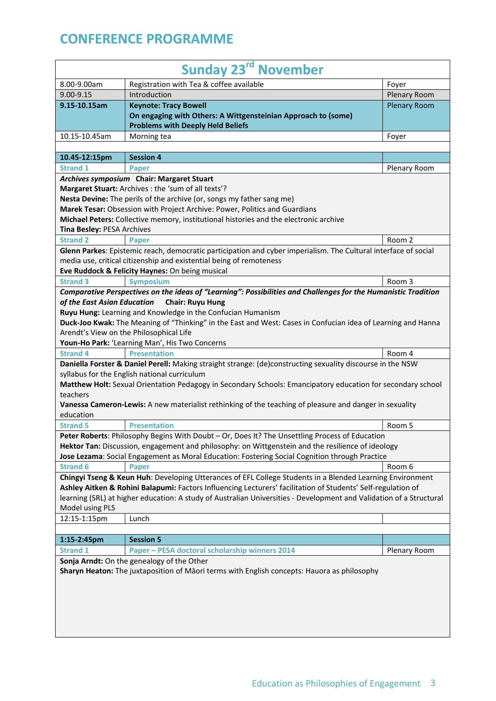| <b>Sunday 23rd November</b>                                                                                                                                                                         |                                                                                                                                                                                                                           |                     |
|-----------------------------------------------------------------------------------------------------------------------------------------------------------------------------------------------------|---------------------------------------------------------------------------------------------------------------------------------------------------------------------------------------------------------------------------|---------------------|
| 8.00-9.00am                                                                                                                                                                                         | Registration with Tea & coffee available                                                                                                                                                                                  | Foyer               |
| 9.00-9.15                                                                                                                                                                                           | Introduction                                                                                                                                                                                                              | Plenary Room        |
| 9.15-10.15am                                                                                                                                                                                        | <b>Keynote: Tracy Bowell</b>                                                                                                                                                                                              | <b>Plenary Room</b> |
|                                                                                                                                                                                                     | On engaging with Others: A Wittgensteinian Approach to (some)<br><b>Problems with Deeply Held Beliefs</b>                                                                                                                 |                     |
| 10.15-10.45am                                                                                                                                                                                       | Morning tea                                                                                                                                                                                                               | Foyer               |
|                                                                                                                                                                                                     |                                                                                                                                                                                                                           |                     |
| 10.45-12:15pm                                                                                                                                                                                       | <b>Session 4</b>                                                                                                                                                                                                          |                     |
| <b>Strand 1</b>                                                                                                                                                                                     | Paper                                                                                                                                                                                                                     | Plenary Room        |
|                                                                                                                                                                                                     | Archives symposium Chair: Margaret Stuart                                                                                                                                                                                 |                     |
|                                                                                                                                                                                                     | Margaret Stuart: Archives : the 'sum of all texts'?                                                                                                                                                                       |                     |
|                                                                                                                                                                                                     | Nesta Devine: The perils of the archive (or, songs my father sang me)                                                                                                                                                     |                     |
|                                                                                                                                                                                                     | Marek Tesar: Obsession with Project Archive: Power, Politics and Guardians                                                                                                                                                |                     |
|                                                                                                                                                                                                     | Michael Peters: Collective memory, institutional histories and the electronic archive                                                                                                                                     |                     |
| Tina Besley: PESA Archives                                                                                                                                                                          |                                                                                                                                                                                                                           |                     |
| <b>Strand 2</b>                                                                                                                                                                                     | <b>Paper</b>                                                                                                                                                                                                              | Room 2              |
|                                                                                                                                                                                                     | Glenn Parkes: Epistemic reach, democratic participation and cyber imperialism. The Cultural interface of social                                                                                                           |                     |
|                                                                                                                                                                                                     | media use, critical citizenship and existential being of remoteness                                                                                                                                                       |                     |
|                                                                                                                                                                                                     | Eve Ruddock & Felicity Haynes: On being musical                                                                                                                                                                           |                     |
| <b>Strand 3</b>                                                                                                                                                                                     | <b>Symposium</b>                                                                                                                                                                                                          | Room 3              |
| of the East Asian Education                                                                                                                                                                         | Comparative Perspectives on the ideas of "Learning": Possibilities and Challenges for the Humanistic Tradition<br><b>Chair: Ruyu Hung</b>                                                                                 |                     |
|                                                                                                                                                                                                     | Ruyu Hung: Learning and Knowledge in the Confucian Humanism                                                                                                                                                               |                     |
|                                                                                                                                                                                                     | Duck-Joo Kwak: The Meaning of "Thinking" in the East and West: Cases in Confucian idea of Learning and Hanna                                                                                                              |                     |
|                                                                                                                                                                                                     | Arendt's View on the Philosophical Life                                                                                                                                                                                   |                     |
|                                                                                                                                                                                                     | Youn-Ho Park: 'Learning Man', His Two Concerns                                                                                                                                                                            |                     |
| <b>Strand 4</b>                                                                                                                                                                                     | <b>Presentation</b>                                                                                                                                                                                                       | Room 4              |
|                                                                                                                                                                                                     | Daniella Forster & Daniel Perell: Making straight strange: (de)constructing sexuality discourse in the NSW<br>syllabus for the English national curriculum                                                                |                     |
| teachers                                                                                                                                                                                            | Matthew Holt: Sexual Orientation Pedagogy in Secondary Schools: Emancipatory education for secondary school                                                                                                               |                     |
|                                                                                                                                                                                                     | Vanessa Cameron-Lewis: A new materialist rethinking of the teaching of pleasure and danger in sexuality                                                                                                                   |                     |
| education                                                                                                                                                                                           |                                                                                                                                                                                                                           |                     |
| <b>Strand 5</b>                                                                                                                                                                                     | <b>Presentation</b>                                                                                                                                                                                                       | Room 5              |
| Peter Roberts: Philosophy Begins With Doubt - Or, Does It? The Unsettling Process of Education<br>Hektor Tan: Discussion, engagement and philosophy: on Wittgenstein and the resilience of ideology |                                                                                                                                                                                                                           |                     |
|                                                                                                                                                                                                     | Jose Lezama: Social Engagement as Moral Education: Fostering Social Cognition through Practice                                                                                                                            |                     |
| <b>Strand 6</b>                                                                                                                                                                                     | Paper                                                                                                                                                                                                                     | Room 6              |
|                                                                                                                                                                                                     | Chingyi Tseng & Keun Huh: Developing Utterances of EFL College Students in a Blended Learning Environment<br>Ashley Aitken & Rohini Balapumi: Factors Influencing Lecturers' facilitation of Students' Self-regulation of |                     |
|                                                                                                                                                                                                     | learning (SRL) at higher education: A study of Australian Universities - Development and Validation of a Structural                                                                                                       |                     |
| Model using PLS                                                                                                                                                                                     |                                                                                                                                                                                                                           |                     |
| 12:15-1:15pm                                                                                                                                                                                        | Lunch                                                                                                                                                                                                                     |                     |
|                                                                                                                                                                                                     |                                                                                                                                                                                                                           |                     |
| 1:15-2:45pm                                                                                                                                                                                         | <b>Session 5</b>                                                                                                                                                                                                          |                     |
| <b>Strand 1</b>                                                                                                                                                                                     | Paper - PESA doctoral scholarship winners 2014                                                                                                                                                                            | Plenary Room        |
|                                                                                                                                                                                                     | Sonja Arndt: On the genealogy of the Other                                                                                                                                                                                |                     |
|                                                                                                                                                                                                     | Sharyn Heaton: The juxtaposition of Māori terms with English concepts: Hauora as philosophy                                                                                                                               |                     |
|                                                                                                                                                                                                     |                                                                                                                                                                                                                           |                     |
|                                                                                                                                                                                                     |                                                                                                                                                                                                                           |                     |
|                                                                                                                                                                                                     |                                                                                                                                                                                                                           |                     |
|                                                                                                                                                                                                     |                                                                                                                                                                                                                           |                     |
|                                                                                                                                                                                                     |                                                                                                                                                                                                                           |                     |
|                                                                                                                                                                                                     |                                                                                                                                                                                                                           |                     |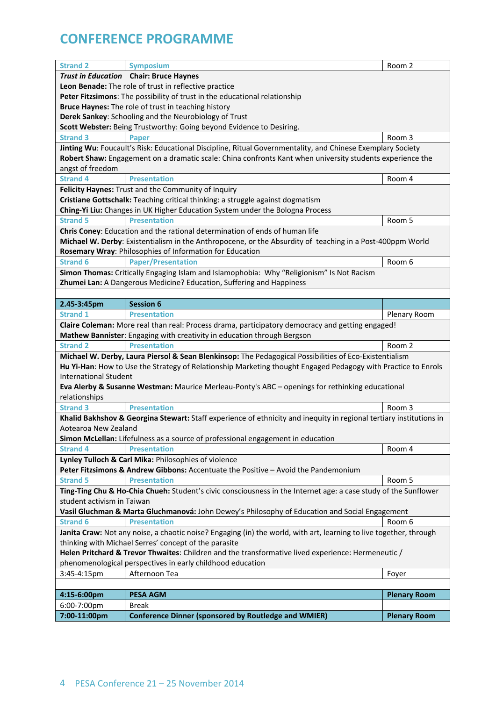| <b>Strand 2</b>                                                                                    | <b>Symposium</b>                                                                                                    | Room 2              |
|----------------------------------------------------------------------------------------------------|---------------------------------------------------------------------------------------------------------------------|---------------------|
|                                                                                                    | Trust in Education Chair: Bruce Haynes                                                                              |                     |
|                                                                                                    | Leon Benade: The role of trust in reflective practice                                                               |                     |
|                                                                                                    | Peter Fitzsimons: The possibility of trust in the educational relationship                                          |                     |
|                                                                                                    | Bruce Haynes: The role of trust in teaching history                                                                 |                     |
|                                                                                                    | Derek Sankey: Schooling and the Neurobiology of Trust                                                               |                     |
|                                                                                                    | Scott Webster: Being Trustworthy: Going beyond Evidence to Desiring.                                                |                     |
| <b>Strand 3</b>                                                                                    | Paper                                                                                                               | Room 3              |
|                                                                                                    | Jinting Wu: Foucault's Risk: Educational Discipline, Ritual Governmentality, and Chinese Exemplary Society          |                     |
|                                                                                                    | Robert Shaw: Engagement on a dramatic scale: China confronts Kant when university students experience the           |                     |
| angst of freedom                                                                                   |                                                                                                                     |                     |
| <b>Strand 4</b>                                                                                    | <b>Presentation</b>                                                                                                 | Room 4              |
|                                                                                                    | Felicity Haynes: Trust and the Community of Inquiry                                                                 |                     |
|                                                                                                    | Cristiane Gottschalk: Teaching critical thinking: a struggle against dogmatism                                      |                     |
|                                                                                                    | Ching-Yi Liu: Changes in UK Higher Education System under the Bologna Process                                       |                     |
| <b>Strand 5</b>                                                                                    | <b>Presentation</b>                                                                                                 | Room 5              |
|                                                                                                    | Chris Coney: Education and the rational determination of ends of human life                                         |                     |
|                                                                                                    | Michael W. Derby: Existentialism in the Anthropocene, or the Absurdity of teaching in a Post-400ppm World           |                     |
|                                                                                                    | Rosemary Wray: Philosophies of Information for Education                                                            |                     |
| <b>Strand 6</b>                                                                                    | <b>Paper/Presentation</b>                                                                                           | Room 6              |
|                                                                                                    | Simon Thomas: Critically Engaging Islam and Islamophobia: Why "Religionism" Is Not Racism                           |                     |
|                                                                                                    | Zhumei Lan: A Dangerous Medicine? Education, Suffering and Happiness                                                |                     |
|                                                                                                    |                                                                                                                     |                     |
|                                                                                                    | <b>Session 6</b>                                                                                                    |                     |
| 2.45-3:45pm<br><b>Strand 1</b>                                                                     | <b>Presentation</b>                                                                                                 |                     |
|                                                                                                    |                                                                                                                     | Plenary Room        |
|                                                                                                    | Claire Coleman: More real than real: Process drama, participatory democracy and getting engaged!                    |                     |
|                                                                                                    | Mathew Bannister: Engaging with creativity in education through Bergson                                             |                     |
| <b>Strand 2</b>                                                                                    | <b>Presentation</b>                                                                                                 | Room 2              |
|                                                                                                    | Michael W. Derby, Laura Piersol & Sean Blenkinsop: The Pedagogical Possibilities of Eco-Existentialism              |                     |
|                                                                                                    | Hu Yi-Han: How to Use the Strategy of Relationship Marketing thought Engaged Pedagogy with Practice to Enrols       |                     |
| <b>International Student</b>                                                                       |                                                                                                                     |                     |
|                                                                                                    | Eva Alerby & Susanne Westman: Maurice Merleau-Ponty's ABC - openings for rethinking educational                     |                     |
| relationships                                                                                      |                                                                                                                     |                     |
| <b>Strand 3</b>                                                                                    | <b>Presentation</b>                                                                                                 | Room 3              |
|                                                                                                    | Khalid Bakhshov & Georgina Stewart: Staff experience of ethnicity and inequity in regional tertiary institutions in |                     |
| Aotearoa New Zealand                                                                               |                                                                                                                     |                     |
|                                                                                                    | Simon McLellan: Lifefulness as a source of professional engagement in education                                     |                     |
| <b>Strand 4</b>                                                                                    | <b>Presentation</b>                                                                                                 | Room 4              |
|                                                                                                    | Lynley Tulloch & Carl Mika: Philosophies of violence                                                                |                     |
|                                                                                                    | Peter Fitzsimons & Andrew Gibbons: Accentuate the Positive - Avoid the Pandemonium                                  |                     |
| <b>Strand 5</b>                                                                                    | <b>Presentation</b>                                                                                                 | Room 5              |
|                                                                                                    | Ting-Ting Chu & Ho-Chia Chueh: Student's civic consciousness in the Internet age: a case study of the Sunflower     |                     |
| student activism in Taiwan                                                                         |                                                                                                                     |                     |
|                                                                                                    | Vasil Gluchman & Marta Gluchmanová: John Dewey's Philosophy of Education and Social Engagement                      |                     |
| <b>Strand 6</b>                                                                                    | <b>Presentation</b>                                                                                                 | Room 6              |
|                                                                                                    | Janita Craw: Not any noise, a chaotic noise? Engaging (in) the world, with art, learning to live together, through  |                     |
| thinking with Michael Serres' concept of the parasite                                              |                                                                                                                     |                     |
| Helen Pritchard & Trevor Thwaites: Children and the transformative lived experience: Hermeneutic / |                                                                                                                     |                     |
|                                                                                                    | phenomenological perspectives in early childhood education                                                          |                     |
| 3:45-4:15pm                                                                                        | Afternoon Tea                                                                                                       | Foyer               |
|                                                                                                    |                                                                                                                     |                     |
| 4:15-6:00pm                                                                                        | <b>PESA AGM</b>                                                                                                     | <b>Plenary Room</b> |
| 6:00-7:00pm                                                                                        | <b>Break</b>                                                                                                        |                     |
| 7:00-11:00pm                                                                                       | <b>Conference Dinner (sponsored by Routledge and WMIER)</b>                                                         | <b>Plenary Room</b> |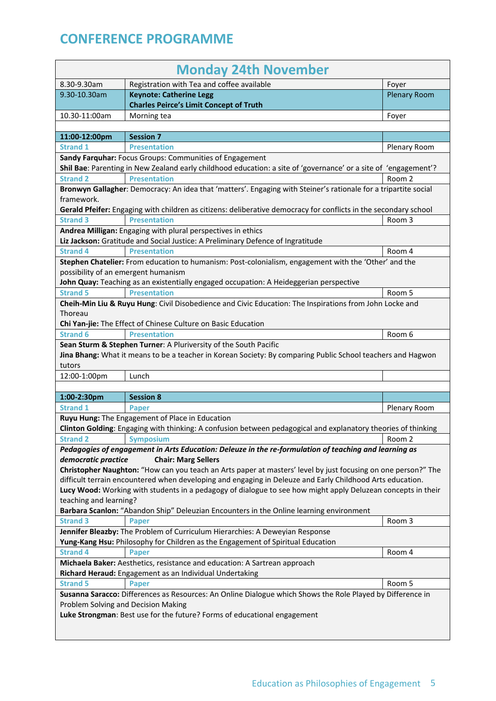| <b>Monday 24th November</b>         |                                                                                                                                     |                     |
|-------------------------------------|-------------------------------------------------------------------------------------------------------------------------------------|---------------------|
| 8.30-9.30am                         | Registration with Tea and coffee available                                                                                          | Foyer               |
| 9.30-10.30am                        | <b>Keynote: Catherine Legg</b>                                                                                                      | <b>Plenary Room</b> |
|                                     | <b>Charles Peirce's Limit Concept of Truth</b>                                                                                      |                     |
| 10.30-11:00am                       | Morning tea                                                                                                                         | Foyer               |
|                                     |                                                                                                                                     |                     |
| 11:00-12:00pm                       | <b>Session 7</b>                                                                                                                    |                     |
| <b>Strand 1</b>                     | <b>Presentation</b>                                                                                                                 | Plenary Room        |
|                                     | Sandy Farquhar: Focus Groups: Communities of Engagement                                                                             |                     |
|                                     | Shil Bae: Parenting in New Zealand early childhood education: a site of 'governance' or a site of 'engagement'?                     |                     |
| <b>Strand 2</b>                     | <b>Presentation</b>                                                                                                                 | Room 2              |
|                                     | Bronwyn Gallagher: Democracy: An idea that 'matters'. Engaging with Steiner's rationale for a tripartite social                     |                     |
| framework.                          |                                                                                                                                     |                     |
|                                     | Gerald Pfeifer: Engaging with children as citizens: deliberative democracy for conflicts in the secondary school                    |                     |
| <b>Strand 3</b>                     | <b>Presentation</b>                                                                                                                 | Room 3              |
|                                     | Andrea Milligan: Engaging with plural perspectives in ethics                                                                        |                     |
| <b>Strand 4</b>                     | Liz Jackson: Gratitude and Social Justice: A Preliminary Defence of Ingratitude<br><b>Presentation</b>                              |                     |
|                                     |                                                                                                                                     | Room 4              |
| possibility of an emergent humanism | Stephen Chatelier: From education to humanism: Post-colonialism, engagement with the 'Other' and the                                |                     |
|                                     | John Quay: Teaching as an existentially engaged occupation: A Heideggerian perspective                                              |                     |
| <b>Strand 5</b>                     | <b>Presentation</b>                                                                                                                 | Room 5              |
|                                     | Cheih-Min Liu & Ruyu Hung: Civil Disobedience and Civic Education: The Inspirations from John Locke and                             |                     |
| Thoreau                             |                                                                                                                                     |                     |
|                                     | Chi Yan-jie: The Effect of Chinese Culture on Basic Education                                                                       |                     |
| <b>Strand 6</b>                     | <b>Presentation</b>                                                                                                                 | Room 6              |
|                                     |                                                                                                                                     |                     |
|                                     | Sean Sturm & Stephen Turner: A Pluriversity of the South Pacific                                                                    |                     |
| tutors                              | Jina Bhang: What it means to be a teacher in Korean Society: By comparing Public School teachers and Hagwon                         |                     |
| 12:00-1:00pm                        | Lunch                                                                                                                               |                     |
|                                     |                                                                                                                                     |                     |
| 1:00-2:30pm                         | <b>Session 8</b>                                                                                                                    |                     |
| <b>Strand 1</b>                     | Paper                                                                                                                               |                     |
|                                     | Ruyu Hung: The Engagement of Place in Education                                                                                     | Plenary Room        |
|                                     | Clinton Golding: Engaging with thinking: A confusion between pedagogical and explanatory theories of thinking                       |                     |
| <b>Strand 2</b>                     | <b>Symposium</b>                                                                                                                    | Room 2              |
|                                     |                                                                                                                                     |                     |
| democratic practice                 | Pedagogies of engagement in Arts Education: Deleuze in the re-formulation of teaching and learning as<br><b>Chair: Marg Sellers</b> |                     |
|                                     | Christopher Naughton: "How can you teach an Arts paper at masters' level by just focusing on one person?" The                       |                     |
|                                     | difficult terrain encountered when developing and engaging in Deleuze and Early Childhood Arts education.                           |                     |
|                                     | Lucy Wood: Working with students in a pedagogy of dialogue to see how might apply Deluzean concepts in their                        |                     |
| teaching and learning?              |                                                                                                                                     |                     |
|                                     | Barbara Scanlon: "Abandon Ship" Deleuzian Encounters in the Online learning environment                                             |                     |
| <b>Strand 3</b>                     | Paper                                                                                                                               | Room 3              |
|                                     | Jennifer Bleazby: The Problem of Curriculum Hierarchies: A Deweyian Response                                                        |                     |
|                                     | Yung-Kang Hsu: Philosophy for Children as the Engagement of Spiritual Education                                                     |                     |
| <b>Strand 4</b>                     | <b>Paper</b>                                                                                                                        | Room 4              |
|                                     | Michaela Baker: Aesthetics, resistance and education: A Sartrean approach                                                           |                     |
|                                     | Richard Heraud: Engagement as an Individual Undertaking                                                                             |                     |
| <b>Strand 5</b>                     | Paper                                                                                                                               | Room 5              |
|                                     | Susanna Saracco: Differences as Resources: An Online Dialogue which Shows the Role Played by Difference in                          |                     |
| Problem Solving and Decision Making |                                                                                                                                     |                     |
|                                     | Luke Strongman: Best use for the future? Forms of educational engagement                                                            |                     |
|                                     |                                                                                                                                     |                     |
|                                     |                                                                                                                                     |                     |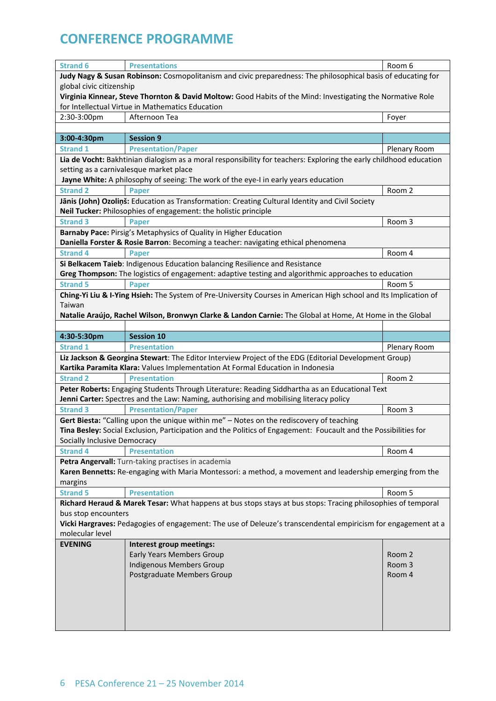|                                                                                                              | <b>Presentations</b>                                                                                                                                                                    | Room 6       |  |
|--------------------------------------------------------------------------------------------------------------|-----------------------------------------------------------------------------------------------------------------------------------------------------------------------------------------|--------------|--|
| <b>Strand 6</b>                                                                                              |                                                                                                                                                                                         |              |  |
| Judy Nagy & Susan Robinson: Cosmopolitanism and civic preparedness: The philosophical basis of educating for |                                                                                                                                                                                         |              |  |
| global civic citizenship                                                                                     |                                                                                                                                                                                         |              |  |
|                                                                                                              | Virginia Kinnear, Steve Thornton & David Moltow: Good Habits of the Mind: Investigating the Normative Role                                                                              |              |  |
|                                                                                                              | for Intellectual Virtue in Mathematics Education                                                                                                                                        |              |  |
| 2:30-3:00pm                                                                                                  | Afternoon Tea                                                                                                                                                                           | Foyer        |  |
|                                                                                                              |                                                                                                                                                                                         |              |  |
| 3:00-4:30pm                                                                                                  | <b>Session 9</b>                                                                                                                                                                        |              |  |
| <b>Strand 1</b>                                                                                              | <b>Presentation/Paper</b>                                                                                                                                                               | Plenary Room |  |
|                                                                                                              | Lia de Vocht: Bakhtinian dialogism as a moral responsibility for teachers: Exploring the early childhood education                                                                      |              |  |
|                                                                                                              | setting as a carnivalesque market place                                                                                                                                                 |              |  |
|                                                                                                              | Jayne White: A philosophy of seeing: The work of the eye-I in early years education                                                                                                     |              |  |
| <b>Strand 2</b>                                                                                              | <b>Paper</b>                                                                                                                                                                            | Room 2       |  |
|                                                                                                              | Jānis (John) Ozoliņš: Education as Transformation: Creating Cultural Identity and Civil Society                                                                                         |              |  |
|                                                                                                              | Neil Tucker: Philosophies of engagement: the holistic principle                                                                                                                         |              |  |
| <b>Strand 3</b>                                                                                              | <b>Paper</b>                                                                                                                                                                            | Room 3       |  |
|                                                                                                              | Barnaby Pace: Pirsig's Metaphysics of Quality in Higher Education                                                                                                                       |              |  |
|                                                                                                              | Daniella Forster & Rosie Barron: Becoming a teacher: navigating ethical phenomena                                                                                                       |              |  |
| <b>Strand 4</b>                                                                                              | <b>Paper</b>                                                                                                                                                                            | Room 4       |  |
|                                                                                                              | Si Belkacem Taieb: Indigenous Education balancing Resilience and Resistance                                                                                                             |              |  |
|                                                                                                              | Greg Thompson: The logistics of engagement: adaptive testing and algorithmic approaches to education                                                                                    |              |  |
| <b>Strand 5</b>                                                                                              | <b>Paper</b>                                                                                                                                                                            | Room 5       |  |
|                                                                                                              | Ching-Yi Liu & I-Ying Hsieh: The System of Pre-University Courses in American High school and Its Implication of                                                                        |              |  |
| Taiwan                                                                                                       |                                                                                                                                                                                         |              |  |
|                                                                                                              | Natalie Araújo, Rachel Wilson, Bronwyn Clarke & Landon Carnie: The Global at Home, At Home in the Global                                                                                |              |  |
|                                                                                                              |                                                                                                                                                                                         |              |  |
| 4:30-5:30pm                                                                                                  | <b>Session 10</b>                                                                                                                                                                       |              |  |
| <b>Strand 1</b>                                                                                              | <b>Presentation</b>                                                                                                                                                                     | Plenary Room |  |
|                                                                                                              | Liz Jackson & Georgina Stewart: The Editor Interview Project of the EDG (Editorial Development Group)<br>Kartika Paramita Klara: Values Implementation At Formal Education in Indonesia |              |  |
| <b>Strand 2</b>                                                                                              | <b>Presentation</b>                                                                                                                                                                     | Room 2       |  |
|                                                                                                              | Peter Roberts: Engaging Students Through Literature: Reading Siddhartha as an Educational Text                                                                                          |              |  |
|                                                                                                              | Jenni Carter: Spectres and the Law: Naming, authorising and mobilising literacy policy                                                                                                  |              |  |
|                                                                                                              |                                                                                                                                                                                         |              |  |
|                                                                                                              |                                                                                                                                                                                         |              |  |
| <b>Strand 3</b>                                                                                              | <b>Presentation/Paper</b>                                                                                                                                                               | Room 3       |  |
|                                                                                                              | Gert Biesta: "Calling upon the unique within me" - Notes on the rediscovery of teaching                                                                                                 |              |  |
|                                                                                                              | Tina Besley: Social Exclusion, Participation and the Politics of Engagement: Foucault and the Possibilities for                                                                         |              |  |
| Socially Inclusive Democracy                                                                                 |                                                                                                                                                                                         |              |  |
| <b>Strand 4</b>                                                                                              | <b>Presentation</b>                                                                                                                                                                     | Room 4       |  |
|                                                                                                              | Petra Angervall: Turn-taking practises in academia                                                                                                                                      |              |  |
|                                                                                                              | Karen Bennetts: Re-engaging with Maria Montessori: a method, a movement and leadership emerging from the                                                                                |              |  |
| margins                                                                                                      |                                                                                                                                                                                         |              |  |
| <b>Strand 5</b>                                                                                              | <b>Presentation</b>                                                                                                                                                                     | Room 5       |  |
|                                                                                                              | Richard Heraud & Marek Tesar: What happens at bus stops stays at bus stops: Tracing philosophies of temporal                                                                            |              |  |
| bus stop encounters                                                                                          |                                                                                                                                                                                         |              |  |
|                                                                                                              | Vicki Hargraves: Pedagogies of engagement: The use of Deleuze's transcendental empiricism for engagement at a                                                                           |              |  |
| molecular level<br><b>EVENING</b>                                                                            |                                                                                                                                                                                         |              |  |
|                                                                                                              | Interest group meetings:                                                                                                                                                                | Room 2       |  |
|                                                                                                              | <b>Early Years Members Group</b>                                                                                                                                                        | Room 3       |  |
|                                                                                                              | Indigenous Members Group                                                                                                                                                                |              |  |
|                                                                                                              | Postgraduate Members Group                                                                                                                                                              | Room 4       |  |
|                                                                                                              |                                                                                                                                                                                         |              |  |
|                                                                                                              |                                                                                                                                                                                         |              |  |
|                                                                                                              |                                                                                                                                                                                         |              |  |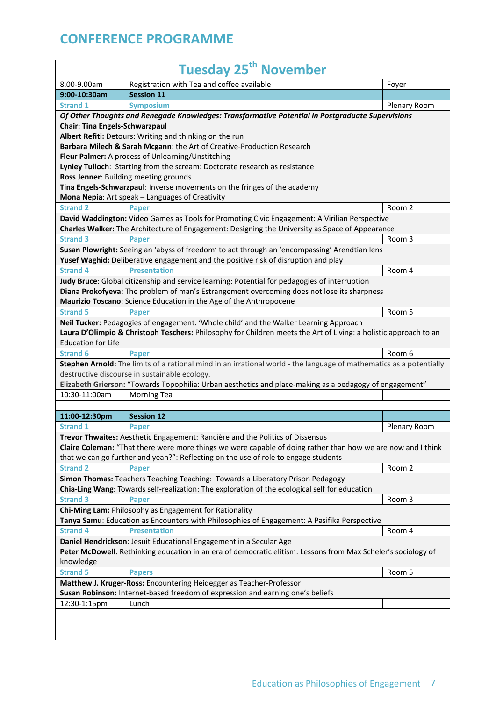| <b>Tuesday 25<sup>th</sup> November</b>                                                                       |                                                                                                                     |              |
|---------------------------------------------------------------------------------------------------------------|---------------------------------------------------------------------------------------------------------------------|--------------|
| 8.00-9.00am                                                                                                   | Registration with Tea and coffee available                                                                          | Foyer        |
| 9:00-10:30am                                                                                                  | <b>Session 11</b>                                                                                                   |              |
| <b>Strand 1</b>                                                                                               | <b>Symposium</b>                                                                                                    | Plenary Room |
|                                                                                                               | Of Other Thoughts and Renegade Knowledges: Transformative Potential in Postgraduate Supervisions                    |              |
| <b>Chair: Tina Engels-Schwarzpaul</b>                                                                         |                                                                                                                     |              |
|                                                                                                               | Albert Refiti: Detours: Writing and thinking on the run                                                             |              |
|                                                                                                               | Barbara Milech & Sarah Mcgann: the Art of Creative-Production Research                                              |              |
|                                                                                                               | Fleur Palmer: A process of Unlearning/Unstitching                                                                   |              |
|                                                                                                               | Lynley Tulloch: Starting from the scream: Doctorate research as resistance                                          |              |
|                                                                                                               | Ross Jenner: Building meeting grounds                                                                               |              |
|                                                                                                               | Tina Engels-Schwarzpaul: Inverse movements on the fringes of the academy                                            |              |
|                                                                                                               | Mona Nepia: Art speak - Languages of Creativity                                                                     |              |
| <b>Strand 2</b>                                                                                               | <b>Paper</b>                                                                                                        | Room 2       |
|                                                                                                               | David Waddington: Video Games as Tools for Promoting Civic Engagement: A Virilian Perspective                       |              |
|                                                                                                               | Charles Walker: The Architecture of Engagement: Designing the University as Space of Appearance                     |              |
| <b>Strand 3</b>                                                                                               | <b>Paper</b>                                                                                                        | Room 3       |
|                                                                                                               | Susan Plowright: Seeing an 'abyss of freedom' to act through an 'encompassing' Arendtian lens                       |              |
|                                                                                                               | Yusef Waghid: Deliberative engagement and the positive risk of disruption and play                                  |              |
| <b>Strand 4</b>                                                                                               | <b>Presentation</b>                                                                                                 | Room 4       |
|                                                                                                               | Judy Bruce: Global citizenship and service learning: Potential for pedagogies of interruption                       |              |
|                                                                                                               | Diana Prokofyeva: The problem of man's Estrangement overcoming does not lose its sharpness                          |              |
|                                                                                                               | Maurizio Toscano: Science Education in the Age of the Anthropocene                                                  |              |
| <b>Strand 5</b>                                                                                               | Paper                                                                                                               | Room 5       |
|                                                                                                               | Neil Tucker: Pedagogies of engagement: 'Whole child' and the Walker Learning Approach                               |              |
|                                                                                                               | Laura D'Olimpio & Christoph Teschers: Philosophy for Children meets the Art of Living: a holistic approach to an    |              |
| <b>Education for Life</b>                                                                                     |                                                                                                                     |              |
| <b>Strand 6</b>                                                                                               | <b>Paper</b>                                                                                                        | Room 6       |
|                                                                                                               | Stephen Arnold: The limits of a rational mind in an irrational world - the language of mathematics as a potentially |              |
|                                                                                                               | destructive discourse in sustainable ecology.                                                                       |              |
|                                                                                                               | Elizabeth Grierson: "Towards Topophilia: Urban aesthetics and place-making as a pedagogy of engagement"             |              |
| 10:30-11:00am                                                                                                 | <b>Morning Tea</b>                                                                                                  |              |
|                                                                                                               |                                                                                                                     |              |
| 11:00-12:30pm                                                                                                 | <b>Session 12</b>                                                                                                   |              |
| <b>Strand 1</b>                                                                                               | <b>Paper</b>                                                                                                        | Plenary Room |
|                                                                                                               | Trevor Thwaites: Aesthetic Engagement: Rancière and the Politics of Dissensus                                       |              |
|                                                                                                               | Claire Coleman: "That there were more things we were capable of doing rather than how we are now and I think        |              |
|                                                                                                               | that we can go further and yeah?": Reflecting on the use of role to engage students                                 |              |
| <b>Strand 2</b>                                                                                               | Paper                                                                                                               | Room 2       |
|                                                                                                               | Simon Thomas: Teachers Teaching Teaching: Towards a Liberatory Prison Pedagogy                                      |              |
|                                                                                                               | Chia-Ling Wang: Towards self-realization: The exploration of the ecological self for education                      |              |
| <b>Strand 3</b>                                                                                               | <b>Paper</b>                                                                                                        | Room 3       |
|                                                                                                               | Chi-Ming Lam: Philosophy as Engagement for Rationality                                                              |              |
|                                                                                                               | Tanya Samu: Education as Encounters with Philosophies of Engagement: A Pasifika Perspective                         |              |
| <b>Strand 4</b>                                                                                               | <b>Presentation</b>                                                                                                 | Room 4       |
|                                                                                                               | Daniel Hendrickson: Jesuit Educational Engagement in a Secular Age                                                  |              |
| Peter McDowell: Rethinking education in an era of democratic elitism: Lessons from Max Scheler's sociology of |                                                                                                                     |              |
| knowledge                                                                                                     |                                                                                                                     |              |
| <b>Strand 5</b>                                                                                               | <b>Papers</b>                                                                                                       | Room 5       |
|                                                                                                               | Matthew J. Kruger-Ross: Encountering Heidegger as Teacher-Professor                                                 |              |
|                                                                                                               | Susan Robinson: Internet-based freedom of expression and earning one's beliefs                                      |              |
| 12:30-1:15pm                                                                                                  | Lunch                                                                                                               |              |
|                                                                                                               |                                                                                                                     |              |
|                                                                                                               |                                                                                                                     |              |
|                                                                                                               |                                                                                                                     |              |